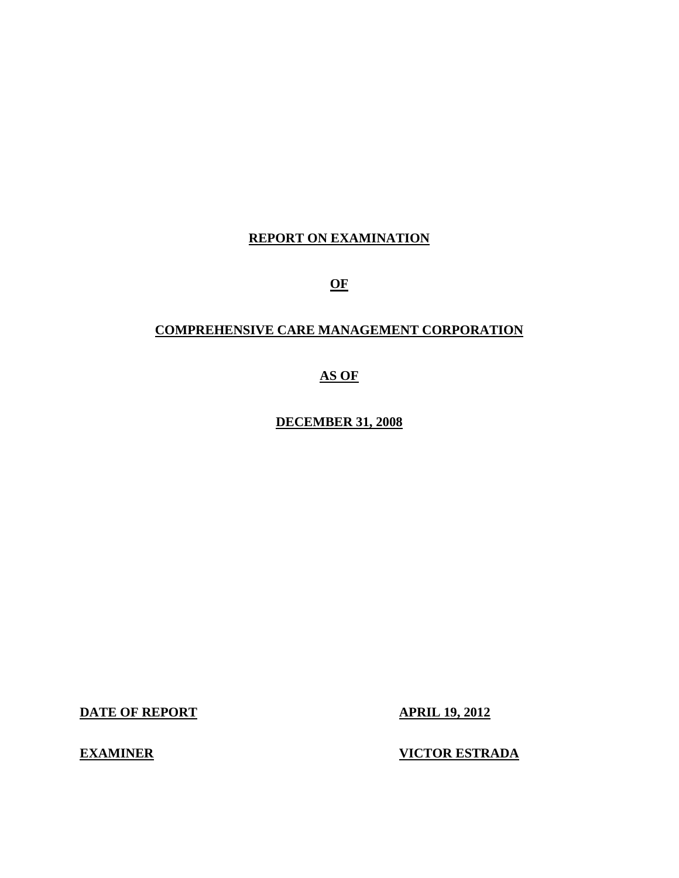### **REPORT ON EXAMINATION**

**OF** 

### **COMPREHENSIVE CARE MANAGEMENT CORPORATION**

**AS OF** 

**DECEMBER 31, 2008** 

**DATE OF REPORT APRIL 19, 2012** 

**EXAMINER VICTOR ESTRADA**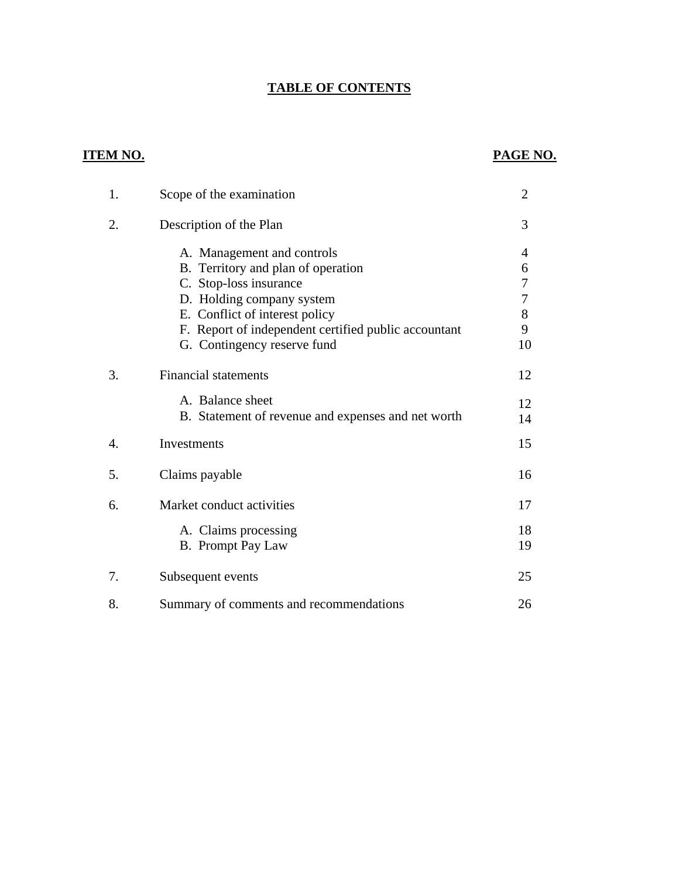## **TABLE OF CONTENTS**

## **ITEM NO.**

## **PAGE NO.**

| 1. | Scope of the examination                             | $\overline{2}$ |
|----|------------------------------------------------------|----------------|
| 2. | Description of the Plan                              | 3              |
|    | A. Management and controls                           | 4              |
|    | B. Territory and plan of operation                   | 6              |
|    | C. Stop-loss insurance                               | 7              |
|    | D. Holding company system                            | 7              |
|    | E. Conflict of interest policy                       | 8              |
|    | F. Report of independent certified public accountant | 9              |
|    | G. Contingency reserve fund                          | 10             |
| 3. | <b>Financial statements</b>                          | 12             |
|    | A. Balance sheet                                     | 12             |
|    | B. Statement of revenue and expenses and net worth   | 14             |
| 4. | Investments                                          | 15             |
| 5. | Claims payable                                       | 16             |
| 6. | Market conduct activities                            | 17             |
|    | A. Claims processing                                 | 18             |
|    | <b>B.</b> Prompt Pay Law                             | 19             |
| 7. | Subsequent events                                    | 25             |
| 8. | Summary of comments and recommendations              | 26             |
|    |                                                      |                |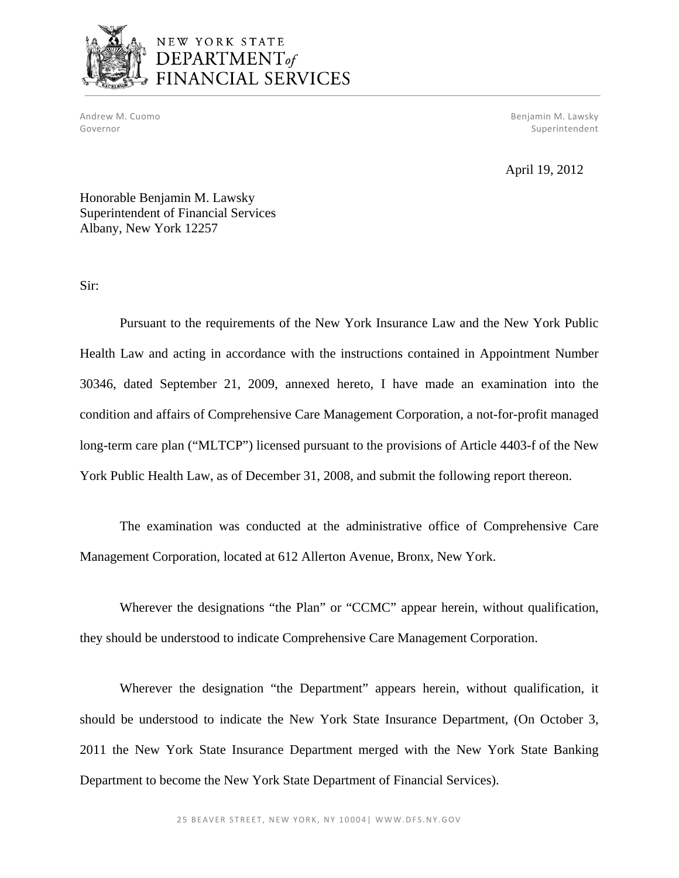

## NEW YORK STATE DEPARTMENT<sub>of</sub> **NANCIAL SERVICES**

 Andrew M. Cuomo Benjamin M. Lawsky Governor Superintendent Superintendent Superintendent Superintendent Superintendent Superintendent Superintendent

April 19, 2012

Honorable Benjamin M. Lawsky Superintendent of Financial Services Albany, New York 12257

Sir:

Pursuant to the requirements of the New York Insurance Law and the New York Public Health Law and acting in accordance with the instructions contained in Appointment Number 30346, dated September 21, 2009, annexed hereto, I have made an examination into the condition and affairs of Comprehensive Care Management Corporation, a not-for-profit managed long-term care plan ("MLTCP") licensed pursuant to the provisions of Article 4403-f of the New York Public Health Law, as of December 31, 2008, and submit the following report thereon.

The examination was conducted at the administrative office of Comprehensive Care Management Corporation, located at 612 Allerton Avenue, Bronx, New York.

Wherever the designations "the Plan" or "CCMC" appear herein, without qualification, they should be understood to indicate Comprehensive Care Management Corporation.

Wherever the designation "the Department" appears herein, without qualification, it should be understood to indicate the New York State Insurance Department, (On October 3, 2011 the New York State Insurance Department merged with the New York State Banking Department to become the New York State Department of Financial Services).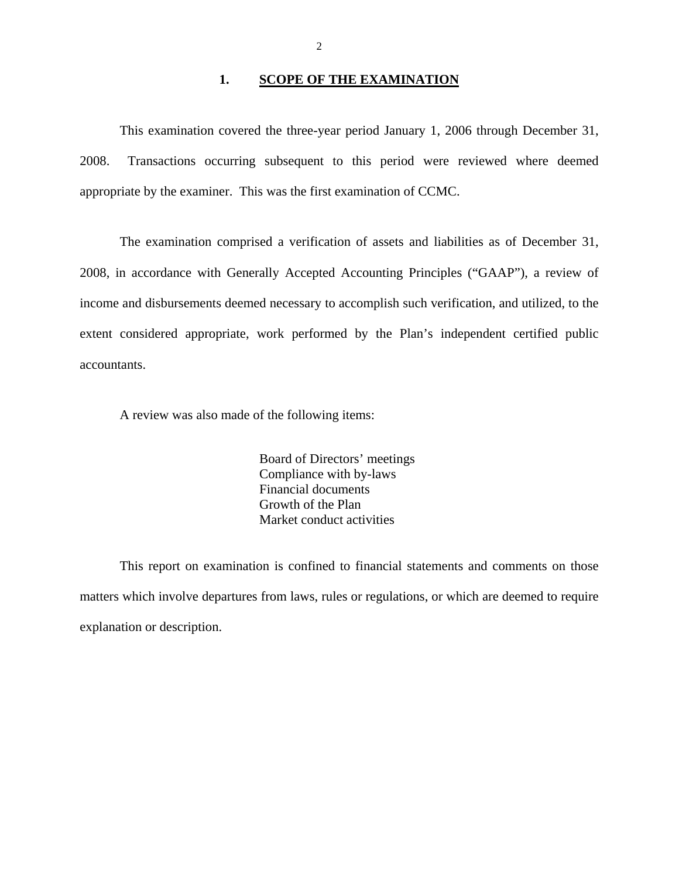#### **1. SCOPE OF THE EXAMINATION**

This examination covered the three-year period January 1, 2006 through December 31, 2008. Transactions occurring subsequent to this period were reviewed where deemed appropriate by the examiner. This was the first examination of CCMC.

The examination comprised a verification of assets and liabilities as of December 31, 2008, in accordance with Generally Accepted Accounting Principles ("GAAP"), a review of income and disbursements deemed necessary to accomplish such verification, and utilized, to the extent considered appropriate, work performed by the Plan's independent certified public accountants.

A review was also made of the following items:

Board of Directors' meetings Compliance with by-laws Financial documents Growth of the Plan Market conduct activities

This report on examination is confined to financial statements and comments on those matters which involve departures from laws, rules or regulations, or which are deemed to require explanation or description.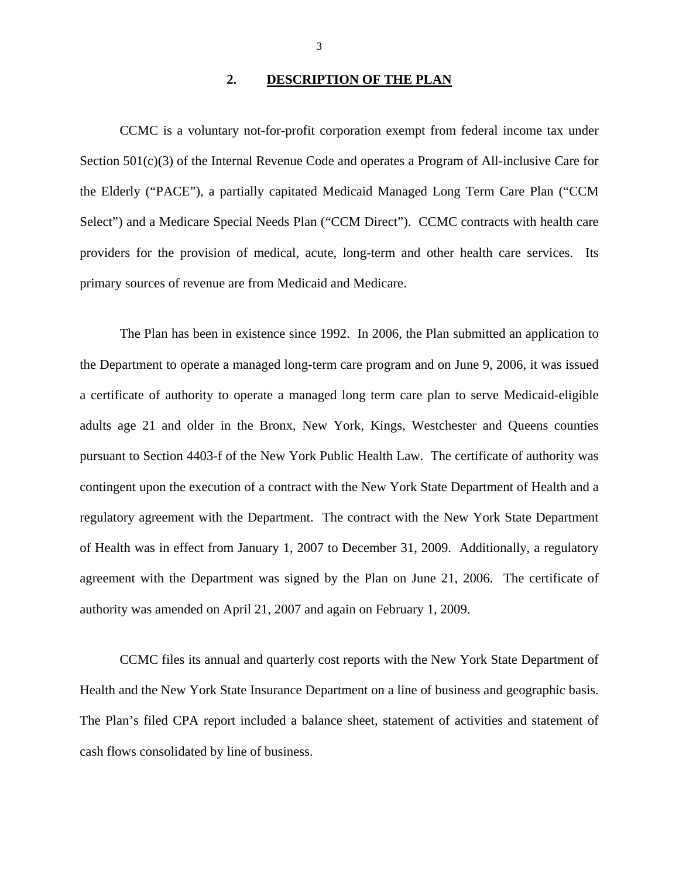### **2. DESCRIPTION OF THE PLAN**

CCMC is a voluntary not-for-profit corporation exempt from federal income tax under Section 501(c)(3) of the Internal Revenue Code and operates a Program of All-inclusive Care for the Elderly ("PACE"), a partially capitated Medicaid Managed Long Term Care Plan ("CCM Select") and a Medicare Special Needs Plan ("CCM Direct"). CCMC contracts with health care providers for the provision of medical, acute, long-term and other health care services. Its primary sources of revenue are from Medicaid and Medicare.

The Plan has been in existence since 1992. In 2006, the Plan submitted an application to the Department to operate a managed long-term care program and on June 9, 2006, it was issued a certificate of authority to operate a managed long term care plan to serve Medicaid-eligible adults age 21 and older in the Bronx, New York, Kings, Westchester and Queens counties pursuant to Section 4403-f of the New York Public Health Law. The certificate of authority was contingent upon the execution of a contract with the New York State Department of Health and a regulatory agreement with the Department. The contract with the New York State Department of Health was in effect from January 1, 2007 to December 31, 2009. Additionally, a regulatory agreement with the Department was signed by the Plan on June 21, 2006. The certificate of authority was amended on April 21, 2007 and again on February 1, 2009.

CCMC files its annual and quarterly cost reports with the New York State Department of Health and the New York State Insurance Department on a line of business and geographic basis. The Plan's filed CPA report included a balance sheet, statement of activities and statement of cash flows consolidated by line of business.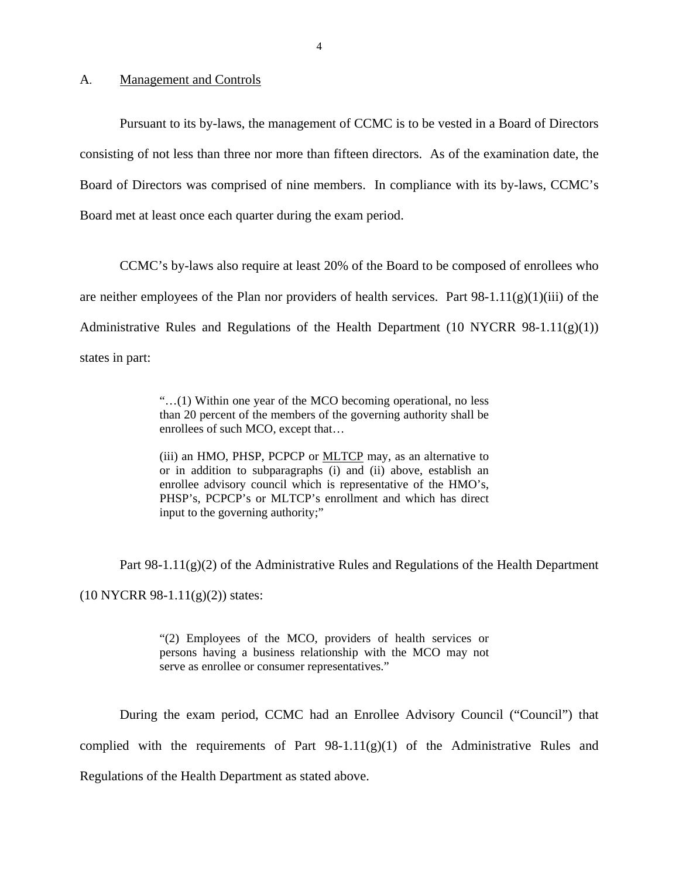#### A. Management and Controls

Pursuant to its by-laws, the management of CCMC is to be vested in a Board of Directors consisting of not less than three nor more than fifteen directors. As of the examination date, the Board of Directors was comprised of nine members. In compliance with its by-laws, CCMC's Board met at least once each quarter during the exam period.

CCMC's by-laws also require at least 20% of the Board to be composed of enrollees who are neither employees of the Plan nor providers of health services. Part  $98-1.11(g)(1)(iii)$  of the Administrative Rules and Regulations of the Health Department (10 NYCRR  $98-1.11(g)(1)$ ) states in part:

> "…(1) Within one year of the MCO becoming operational, no less than 20 percent of the members of the governing authority shall be enrollees of such MCO, except that…

> (iii) an HMO, PHSP, PCPCP or MLTCP may, as an alternative to or in addition to subparagraphs (i) and (ii) above, establish an enrollee advisory council which is representative of the HMO's, PHSP's, PCPCP's or MLTCP's enrollment and which has direct input to the governing authority;"

Part  $98-1.11(g)(2)$  of the Administrative Rules and Regulations of the Health Department

 $(10 \text{ NYCRR } 98-1.11(g)(2))$  states:

"(2) Employees of the MCO, providers of health services or persons having a business relationship with the MCO may not serve as enrollee or consumer representatives."

During the exam period, CCMC had an Enrollee Advisory Council ("Council") that complied with the requirements of Part  $98-1.11(g)(1)$  of the Administrative Rules and Regulations of the Health Department as stated above.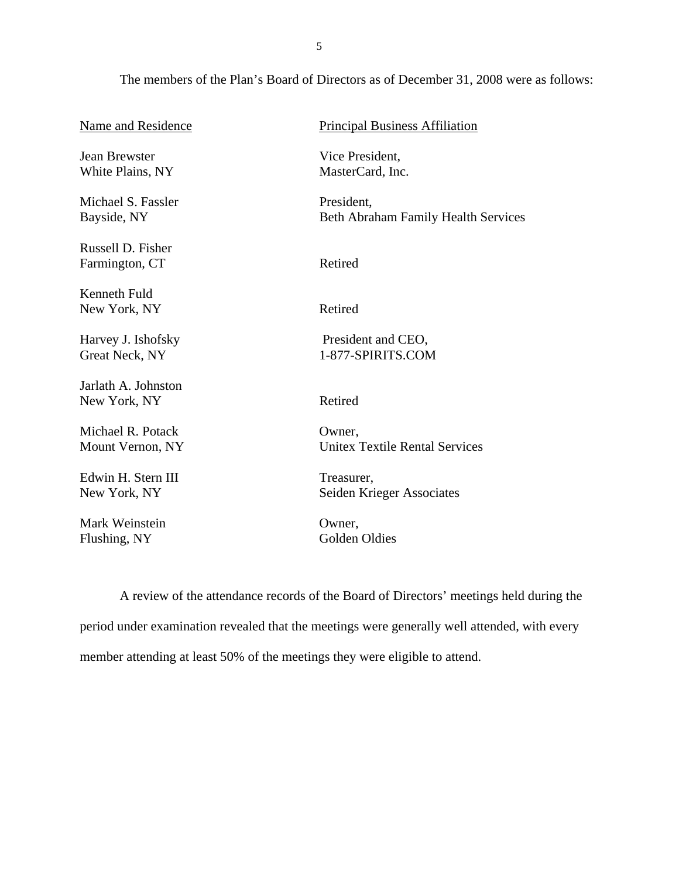The members of the Plan's Board of Directors as of December 31, 2008 were as follows:

| <b>Name and Residence</b>           | <b>Principal Business Affiliation</b>      |
|-------------------------------------|--------------------------------------------|
| Jean Brewster                       | Vice President,                            |
| White Plains, NY                    | MasterCard, Inc.                           |
| Michael S. Fassler                  | President,                                 |
| Bayside, NY                         | <b>Beth Abraham Family Health Services</b> |
| Russell D. Fisher<br>Farmington, CT | Retired                                    |
| Kenneth Fuld<br>New York, NY        | Retired                                    |
| Harvey J. Ishofsky                  | President and CEO,                         |
| Great Neck, NY                      | 1-877-SPIRITS.COM                          |
| Jarlath A. Johnston<br>New York, NY | Retired                                    |
| Michael R. Potack                   | Owner,                                     |
| Mount Vernon, NY                    | <b>Unitex Textile Rental Services</b>      |
| Edwin H. Stern III                  | Treasurer,                                 |
| New York, NY                        | Seiden Krieger Associates                  |
| Mark Weinstein                      | Owner,                                     |
| Flushing, NY                        | Golden Oldies                              |

A review of the attendance records of the Board of Directors' meetings held during the period under examination revealed that the meetings were generally well attended, with every member attending at least 50% of the meetings they were eligible to attend.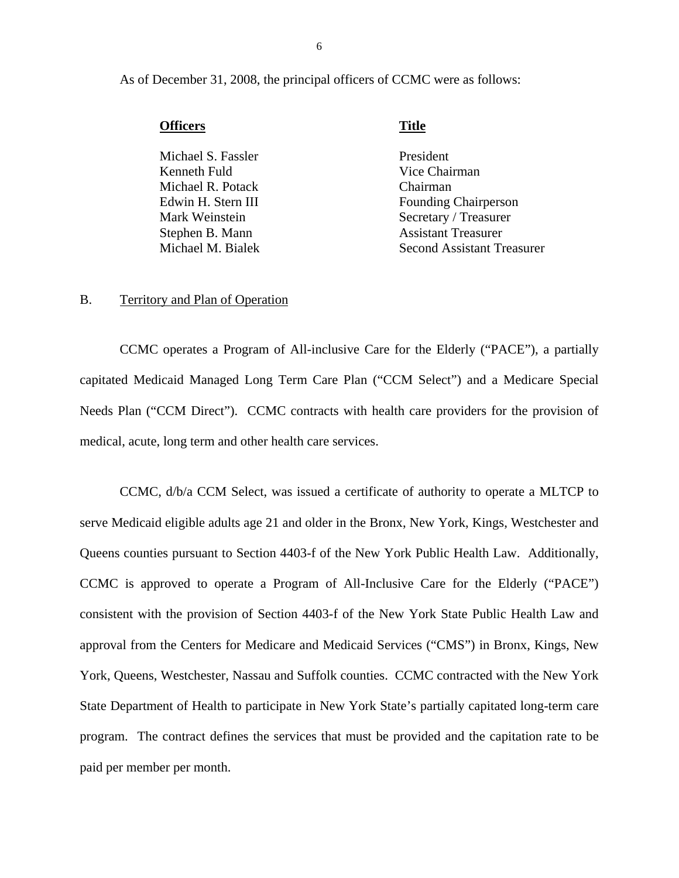As of December 31, 2008, the principal officers of CCMC were as follows:

#### **<u>Officers</u> Title 2016 11:30 Title 2016 12:30 Title</u>**

Michael S. Fassler President Kenneth Fuld Vice Chairman Michael R. Potack Chairman

Edwin H. Stern III Founding Chairperson Mark Weinstein Secretary / Treasurer Stephen B. Mann Assistant Treasurer Michael M. Bialek Second Assistant Treasurer

#### B. Territory and Plan of Operation

CCMC operates a Program of All-inclusive Care for the Elderly ("PACE"), a partially capitated Medicaid Managed Long Term Care Plan ("CCM Select") and a Medicare Special Needs Plan ("CCM Direct"). CCMC contracts with health care providers for the provision of medical, acute, long term and other health care services.

CCMC, d/b/a CCM Select, was issued a certificate of authority to operate a MLTCP to serve Medicaid eligible adults age 21 and older in the Bronx, New York, Kings, Westchester and Queens counties pursuant to Section 4403-f of the New York Public Health Law. Additionally, CCMC is approved to operate a Program of All-Inclusive Care for the Elderly ("PACE") consistent with the provision of Section 4403-f of the New York State Public Health Law and approval from the Centers for Medicare and Medicaid Services ("CMS") in Bronx, Kings, New York, Queens, Westchester, Nassau and Suffolk counties. CCMC contracted with the New York State Department of Health to participate in New York State's partially capitated long-term care program. The contract defines the services that must be provided and the capitation rate to be paid per member per month.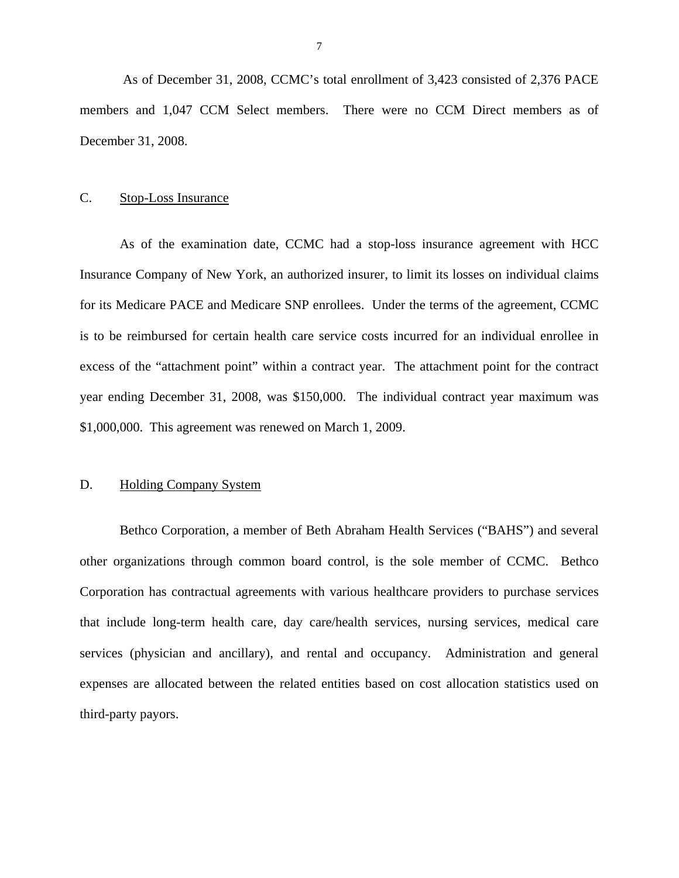As of December 31, 2008, CCMC's total enrollment of 3,423 consisted of 2,376 PACE members and 1,047 CCM Select members. There were no CCM Direct members as of December 31, 2008.

#### C. Stop-Loss Insurance

As of the examination date, CCMC had a stop-loss insurance agreement with HCC Insurance Company of New York, an authorized insurer, to limit its losses on individual claims for its Medicare PACE and Medicare SNP enrollees. Under the terms of the agreement, CCMC is to be reimbursed for certain health care service costs incurred for an individual enrollee in excess of the "attachment point" within a contract year. The attachment point for the contract year ending December 31, 2008, was \$150,000. The individual contract year maximum was \$1,000,000. This agreement was renewed on March 1, 2009.

#### D. Holding Company System

Bethco Corporation, a member of Beth Abraham Health Services ("BAHS") and several other organizations through common board control, is the sole member of CCMC. Bethco Corporation has contractual agreements with various healthcare providers to purchase services that include long-term health care, day care/health services, nursing services, medical care services (physician and ancillary), and rental and occupancy. Administration and general expenses are allocated between the related entities based on cost allocation statistics used on third-party payors.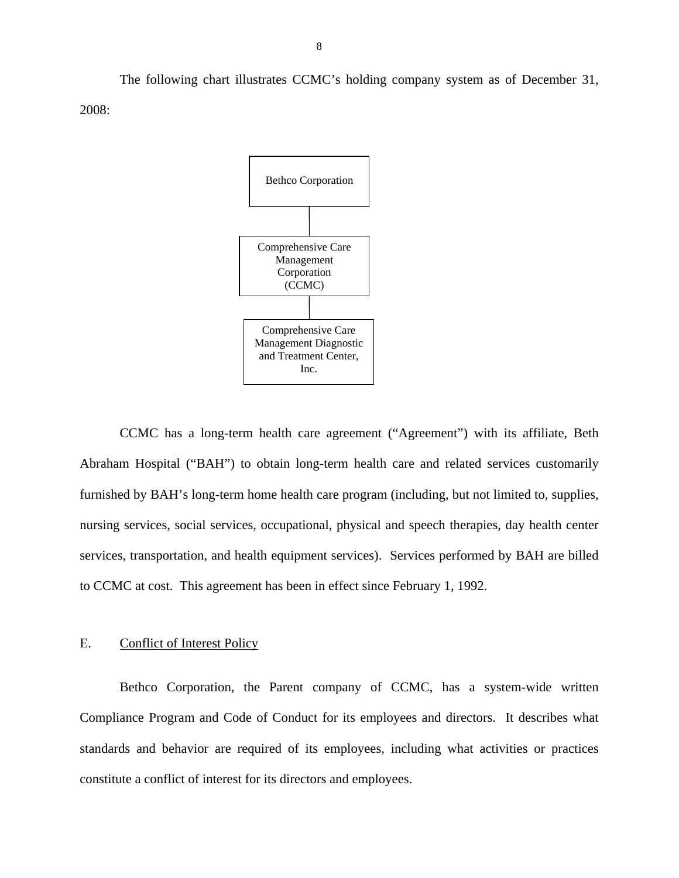The following chart illustrates CCMC's holding company system as of December 31, 2008:



CCMC has a long-term health care agreement ("Agreement") with its affiliate, Beth Abraham Hospital ("BAH") to obtain long-term health care and related services customarily furnished by BAH's long-term home health care program (including, but not limited to, supplies, nursing services, social services, occupational, physical and speech therapies, day health center services, transportation, and health equipment services). Services performed by BAH are billed to CCMC at cost. This agreement has been in effect since February 1, 1992.

#### E. Conflict of Interest Policy

Bethco Corporation, the Parent company of CCMC, has a system-wide written Compliance Program and Code of Conduct for its employees and directors. It describes what standards and behavior are required of its employees, including what activities or practices constitute a conflict of interest for its directors and employees.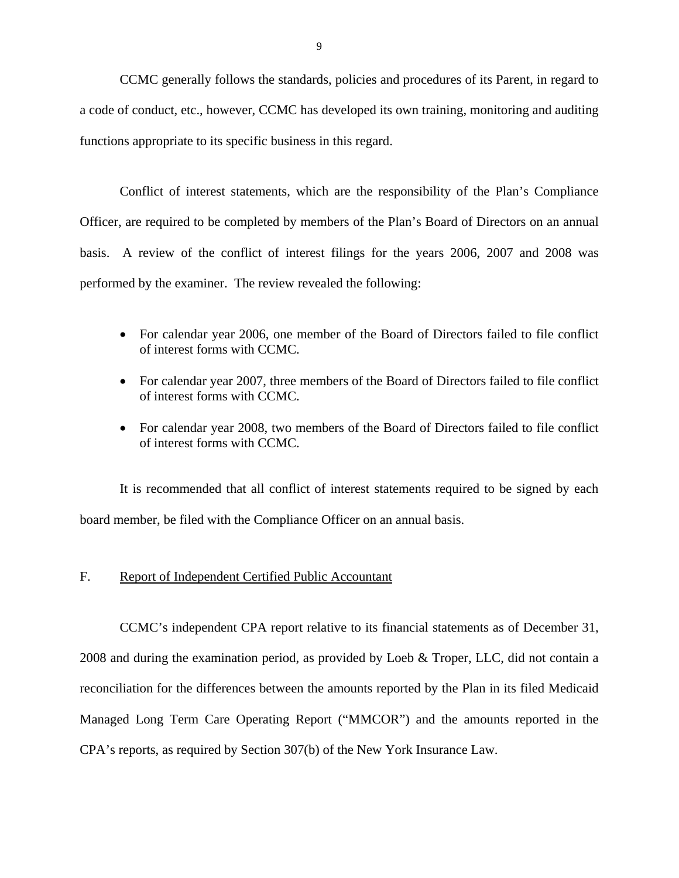CCMC generally follows the standards, policies and procedures of its Parent, in regard to a code of conduct, etc., however, CCMC has developed its own training, monitoring and auditing functions appropriate to its specific business in this regard.

Conflict of interest statements, which are the responsibility of the Plan's Compliance Officer, are required to be completed by members of the Plan's Board of Directors on an annual basis. A review of the conflict of interest filings for the years 2006, 2007 and 2008 was performed by the examiner. The review revealed the following:

- For calendar year 2006, one member of the Board of Directors failed to file conflict of interest forms with CCMC.
- For calendar year 2007, three members of the Board of Directors failed to file conflict of interest forms with CCMC.
- For calendar year 2008, two members of the Board of Directors failed to file conflict of interest forms with CCMC.

It is recommended that all conflict of interest statements required to be signed by each board member, be filed with the Compliance Officer on an annual basis.

#### F. Report of Independent Certified Public Accountant

CCMC's independent CPA report relative to its financial statements as of December 31, 2008 and during the examination period, as provided by Loeb & Troper, LLC, did not contain a reconciliation for the differences between the amounts reported by the Plan in its filed Medicaid Managed Long Term Care Operating Report ("MMCOR") and the amounts reported in the CPA's reports, as required by Section 307(b) of the New York Insurance Law.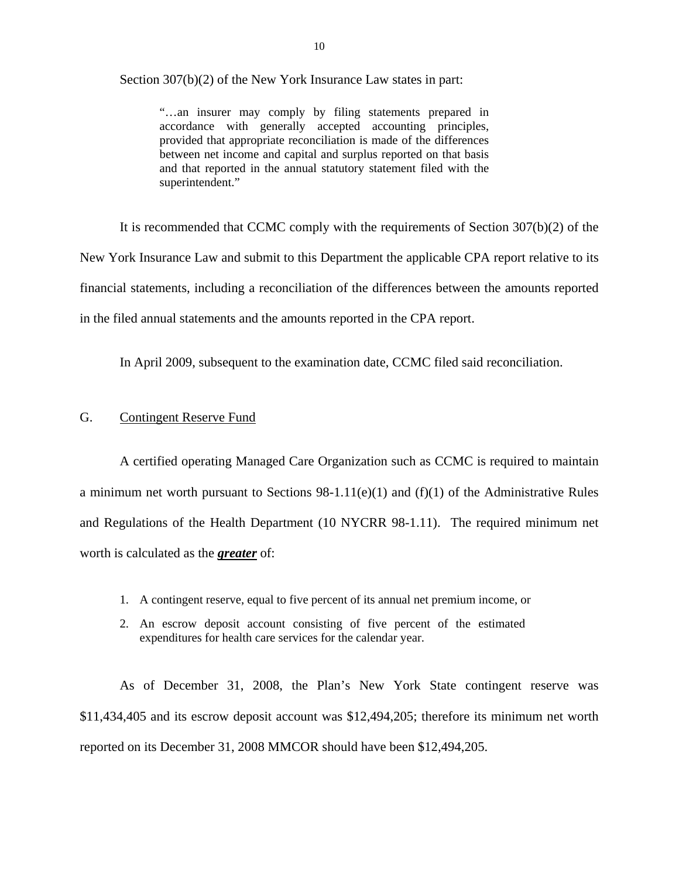Section 307(b)(2) of the New York Insurance Law states in part:

"…an insurer may comply by filing statements prepared in accordance with generally accepted accounting principles, provided that appropriate reconciliation is made of the differences between net income and capital and surplus reported on that basis and that reported in the annual statutory statement filed with the superintendent."

It is recommended that CCMC comply with the requirements of Section 307(b)(2) of the New York Insurance Law and submit to this Department the applicable CPA report relative to its financial statements, including a reconciliation of the differences between the amounts reported in the filed annual statements and the amounts reported in the CPA report.

In April 2009, subsequent to the examination date, CCMC filed said reconciliation.

#### **Contingent Reserve Fund**

G. Contingent Reserve Fund<br>A certified operating Managed Care Organization such as CCMC is required to maintain a minimum net worth pursuant to Sections  $98-1.11(e)(1)$  and  $(f)(1)$  of the Administrative Rules and Regulations of the Health Department (10 NYCRR 98-1.11). The required minimum net worth is calculated as the *greater* of:

- 1. A contingent reserve, equal to five percent of its annual net premium income, or
- 2. An escrow deposit account consisting of five percent of the estimated expenditures for health care services for the calendar year.

As of December 31, 2008, the Plan's New York State contingent reserve was \$11,434,405 and its escrow deposit account was \$12,494,205; therefore its minimum net worth reported on its December 31, 2008 MMCOR should have been \$12,494,205.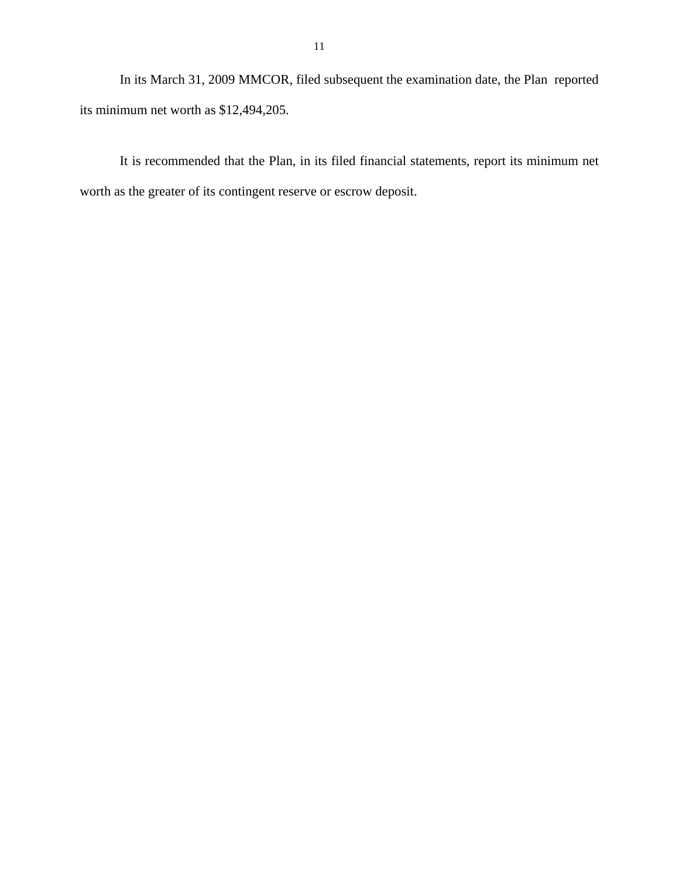In its March 31, 2009 MMCOR, filed subsequent the examination date, the Plan reported its minimum net worth as \$12,494,205.

It is recommended that the Plan, in its filed financial statements, report its minimum net worth as the greater of its contingent reserve or escrow deposit.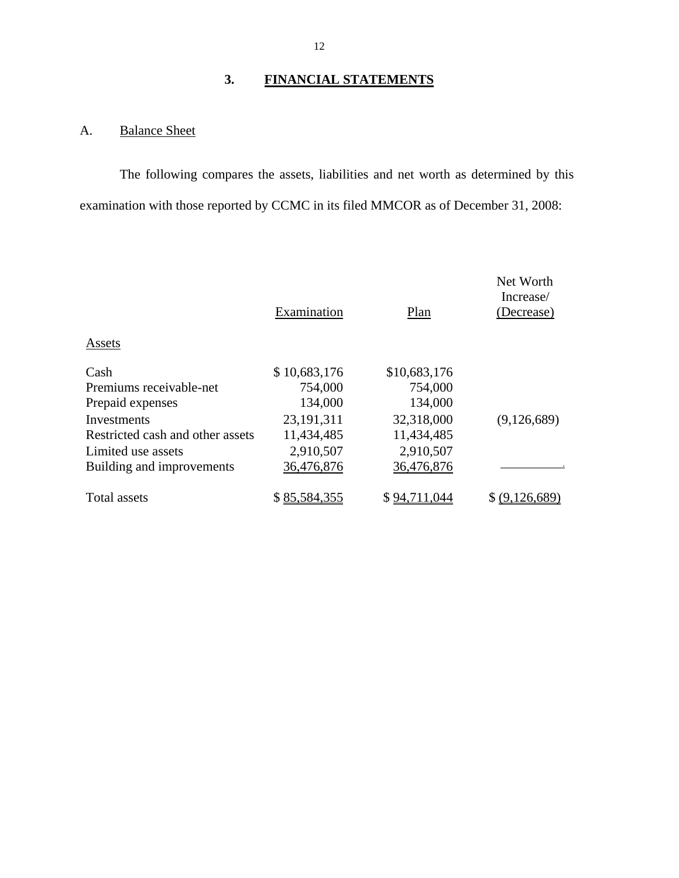## **3. FINANCIAL STATEMENTS**

## A. Balance Sheet

The following compares the assets, liabilities and net worth as determined by this examination with those reported by CCMC in its filed MMCOR as of December 31, 2008:

|                                  | Examination  | Plan         | Net Worth<br>Increase/<br>(Decrease) |
|----------------------------------|--------------|--------------|--------------------------------------|
| Assets                           |              |              |                                      |
| Cash                             | \$10,683,176 | \$10,683,176 |                                      |
| Premiums receivable-net          | 754,000      | 754,000      |                                      |
| Prepaid expenses                 | 134,000      | 134,000      |                                      |
| Investments                      | 23, 191, 311 | 32,318,000   | (9,126,689)                          |
| Restricted cash and other assets | 11,434,485   | 11,434,485   |                                      |
| Limited use assets               | 2,910,507    | 2,910,507    |                                      |
| Building and improvements        | 36,476,876   | 36,476,876   |                                      |
| <b>Total assets</b>              | \$85,584,355 | \$94.7       | (9.126.689)                          |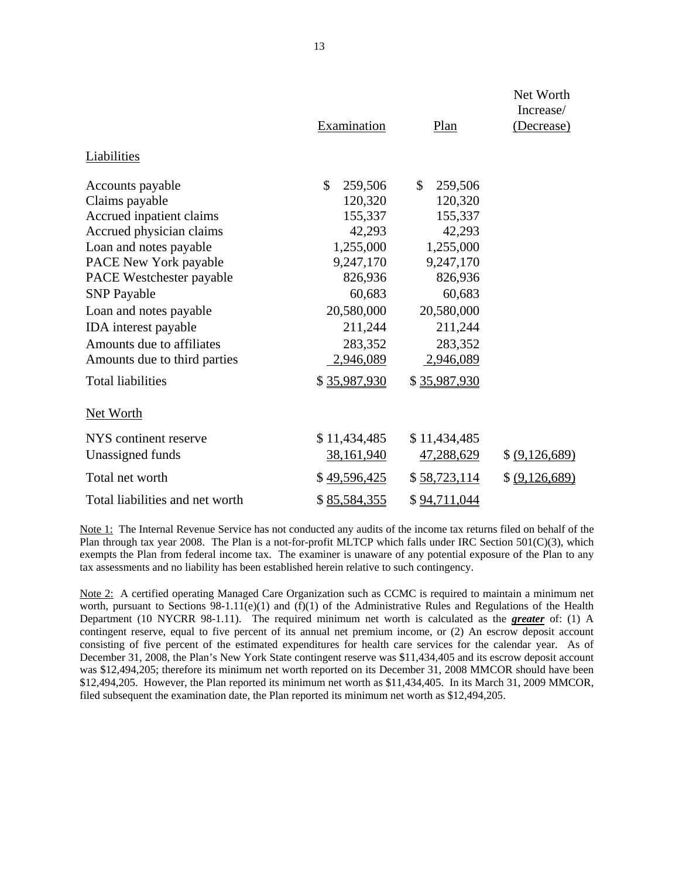|                                 | Examination   | Plan          | Net Worth<br>Increase/<br>(Decrease) |
|---------------------------------|---------------|---------------|--------------------------------------|
| Liabilities                     |               |               |                                      |
| Accounts payable                | \$<br>259,506 | \$<br>259,506 |                                      |
| Claims payable                  | 120,320       | 120,320       |                                      |
| Accrued inpatient claims        | 155,337       | 155,337       |                                      |
| Accrued physician claims        | 42,293        | 42,293        |                                      |
| Loan and notes payable          | 1,255,000     | 1,255,000     |                                      |
| PACE New York payable           | 9,247,170     | 9,247,170     |                                      |
| PACE Westchester payable        | 826,936       | 826,936       |                                      |
| <b>SNP</b> Payable              | 60,683        | 60,683        |                                      |
| Loan and notes payable          | 20,580,000    | 20,580,000    |                                      |
| IDA interest payable            | 211,244       | 211,244       |                                      |
| Amounts due to affiliates       | 283,352       | 283,352       |                                      |
| Amounts due to third parties    | 2,946,089     | 2,946,089     |                                      |
| <b>Total liabilities</b>        | \$35,987,930  | \$35,987,930  |                                      |
| <b>Net Worth</b>                |               |               |                                      |
| NYS continent reserve           | \$11,434,485  | \$11,434,485  |                                      |
| Unassigned funds                | 38,161,940    | 47,288,629    | \$ (9,126,689)                       |
| Total net worth                 | \$49,596,425  | \$58,723,114  | \$ (9,126,689)                       |
| Total liabilities and net worth | \$85,584,355  | \$94,711,044  |                                      |

Note 1: The Internal Revenue Service has not conducted any audits of the income tax returns filed on behalf of the Plan through tax year 2008. The Plan is a not-for-profit MLTCP which falls under IRC Section 501(C)(3), which exempts the Plan from federal income tax. The examiner is unaware of any potential exposure of the Plan to any tax assessments and no liability has been established herein relative to such contingency.

Note 2: A certified operating Managed Care Organization such as CCMC is required to maintain a minimum net worth, pursuant to Sections  $98-1.11(e)(1)$  and  $(f)(1)$  of the Administrative Rules and Regulations of the Health Department (10 NYCRR 98-1.11). The required minimum net worth is calculated as the *greater* of: (1) A contingent reserve, equal to five percent of its annual net premium income, or (2) An escrow deposit account consisting of five percent of the estimated expenditures for health care services for the calendar year. As of December 31, 2008, the Plan's New York State contingent reserve was \$11,434,405 and its escrow deposit account was \$12,494,205; therefore its minimum net worth reported on its December 31, 2008 MMCOR should have been \$12,494,205. However, the Plan reported its minimum net worth as \$11,434,405. In its March 31, 2009 MMCOR, filed subsequent the examination date, the Plan reported its minimum net worth as \$12,494,205.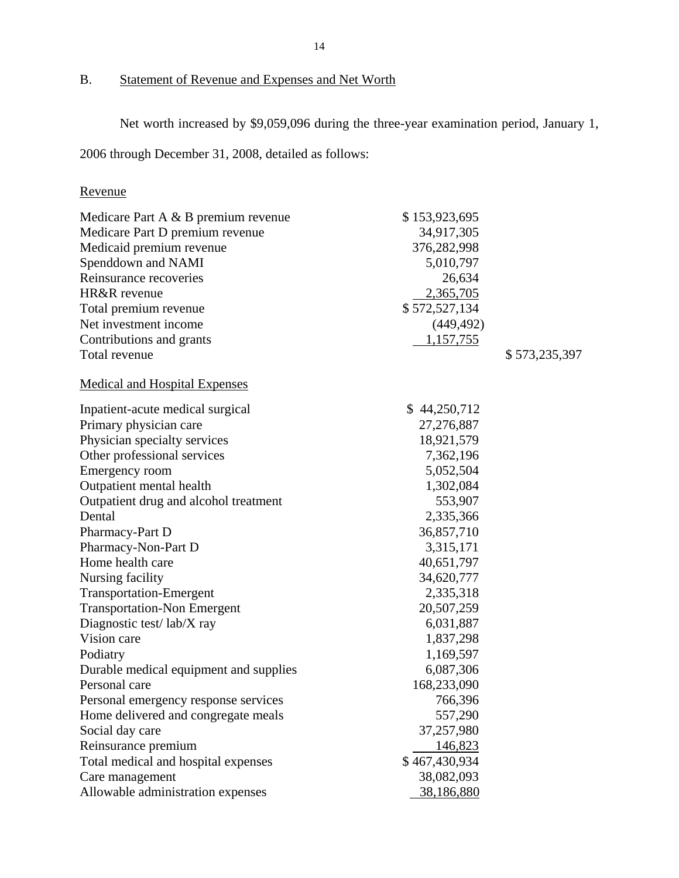B. Statement of Revenue and Expenses and Net Worth

Net worth increased by \$9,059,096 during the three-year examination period, January 1,

2006 through December 31, 2008, detailed as follows:

#### Revenue

| Medicare Part A & B premium revenue<br>Medicare Part D premium revenue<br>Medicaid premium revenue<br>Spenddown and NAMI<br>Reinsurance recoveries<br>HR&R revenue<br>Total premium revenue | \$153,923,695<br>34,917,305<br>376,282,998<br>5,010,797<br>26,634<br>2,365,705<br>\$572,527,134 |               |
|---------------------------------------------------------------------------------------------------------------------------------------------------------------------------------------------|-------------------------------------------------------------------------------------------------|---------------|
| Net investment income                                                                                                                                                                       | (449, 492)                                                                                      |               |
| Contributions and grants                                                                                                                                                                    | 1,157,755                                                                                       |               |
| Total revenue                                                                                                                                                                               |                                                                                                 | \$573,235,397 |
| <b>Medical and Hospital Expenses</b>                                                                                                                                                        |                                                                                                 |               |
| Inpatient-acute medical surgical                                                                                                                                                            | \$44,250,712                                                                                    |               |
| Primary physician care                                                                                                                                                                      | 27,276,887                                                                                      |               |
| Physician specialty services                                                                                                                                                                | 18,921,579                                                                                      |               |
| Other professional services                                                                                                                                                                 | 7,362,196                                                                                       |               |
| Emergency room                                                                                                                                                                              | 5,052,504                                                                                       |               |
| Outpatient mental health                                                                                                                                                                    | 1,302,084                                                                                       |               |
| Outpatient drug and alcohol treatment                                                                                                                                                       | 553,907                                                                                         |               |
| Dental                                                                                                                                                                                      | 2,335,366                                                                                       |               |
| Pharmacy-Part D                                                                                                                                                                             | 36,857,710                                                                                      |               |
| Pharmacy-Non-Part D                                                                                                                                                                         | 3,315,171                                                                                       |               |
| Home health care                                                                                                                                                                            | 40,651,797                                                                                      |               |
| Nursing facility                                                                                                                                                                            | 34,620,777                                                                                      |               |
| <b>Transportation-Emergent</b>                                                                                                                                                              | 2,335,318                                                                                       |               |
| <b>Transportation-Non Emergent</b>                                                                                                                                                          | 20,507,259                                                                                      |               |
| Diagnostic test/lab/X ray                                                                                                                                                                   | 6,031,887                                                                                       |               |
| Vision care                                                                                                                                                                                 | 1,837,298                                                                                       |               |
| Podiatry                                                                                                                                                                                    | 1,169,597                                                                                       |               |
| Durable medical equipment and supplies                                                                                                                                                      | 6,087,306                                                                                       |               |
| Personal care                                                                                                                                                                               | 168,233,090                                                                                     |               |
| Personal emergency response services                                                                                                                                                        | 766,396                                                                                         |               |
| Home delivered and congregate meals                                                                                                                                                         | 557,290                                                                                         |               |
| Social day care                                                                                                                                                                             | 37,257,980                                                                                      |               |
| Reinsurance premium                                                                                                                                                                         | 146,823                                                                                         |               |
| Total medical and hospital expenses                                                                                                                                                         | \$467,430,934                                                                                   |               |
| Care management                                                                                                                                                                             | 38,082,093                                                                                      |               |
| Allowable administration expenses                                                                                                                                                           | 38,186,880                                                                                      |               |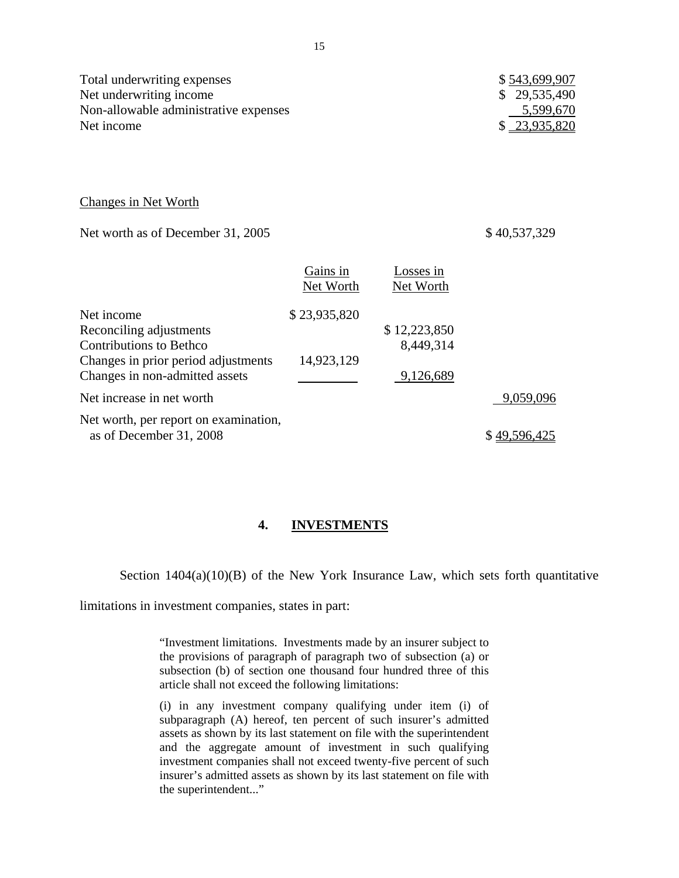| Total underwriting expenses<br>Net underwriting income<br>Non-allowable administrative expenses<br>Net income                                    |                              |                                        | \$543,699,907<br>\$29,535,490<br>5,599,670<br>\$23,935,820 |
|--------------------------------------------------------------------------------------------------------------------------------------------------|------------------------------|----------------------------------------|------------------------------------------------------------|
| <b>Changes in Net Worth</b>                                                                                                                      |                              |                                        |                                                            |
| Net worth as of December 31, 2005                                                                                                                |                              |                                        | \$40,537,329                                               |
|                                                                                                                                                  | Gains in<br><b>Net Worth</b> | Losses in<br>Net Worth                 |                                                            |
| Net income<br>Reconciling adjustments<br><b>Contributions to Bethco</b><br>Changes in prior period adjustments<br>Changes in non-admitted assets | \$23,935,820<br>14,923,129   | \$12,223,850<br>8,449,314<br>9,126,689 |                                                            |
| Net increase in net worth                                                                                                                        |                              |                                        | 9,059,096                                                  |
| Net worth, per report on examination,<br>as of December 31, 2008                                                                                 |                              |                                        | \$49,596,425                                               |

#### **4. INVESTMENTS**

Section  $1404(a)(10)(B)$  of the New York Insurance Law, which sets forth quantitative

limitations in investment companies, states in part:

"Investment limitations. Investments made by an insurer subject to the provisions of paragraph of paragraph two of subsection (a) or subsection (b) of section one thousand four hundred three of this article shall not exceed the following limitations:

(i) in any investment company qualifying under item (i) of subparagraph (A) hereof, ten percent of such insurer's admitted assets as shown by its last statement on file with the superintendent and the aggregate amount of investment in such qualifying investment companies shall not exceed twenty-five percent of such insurer's admitted assets as shown by its last statement on file with the superintendent..."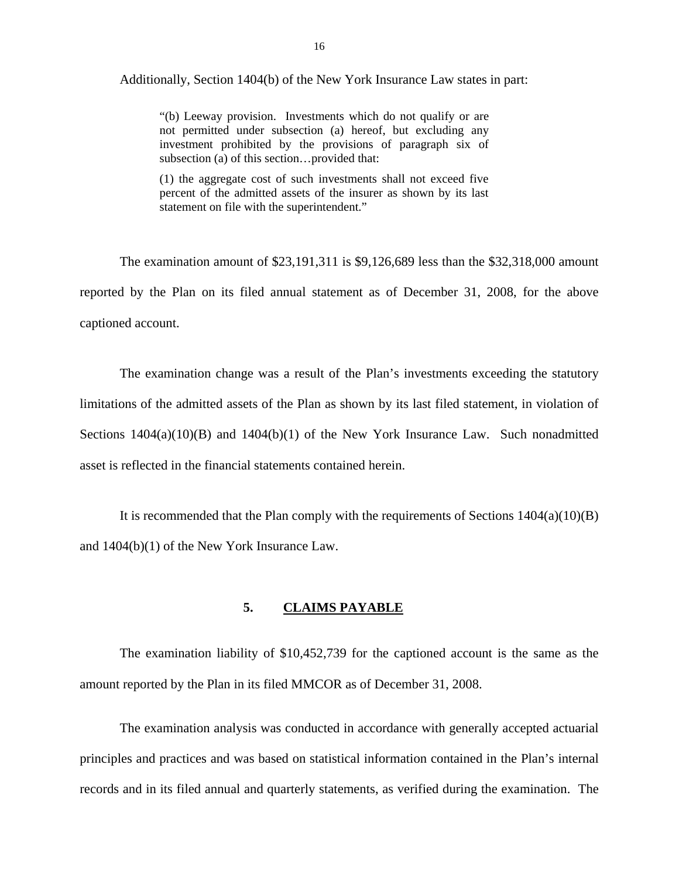Additionally, Section 1404(b) of the New York Insurance Law states in part:

"(b) Leeway provision. Investments which do not qualify or are not permitted under subsection (a) hereof, but excluding any investment prohibited by the provisions of paragraph six of subsection (a) of this section…provided that:

(1) the aggregate cost of such investments shall not exceed five percent of the admitted assets of the insurer as shown by its last statement on file with the superintendent."

The examination amount of \$23,191,311 is \$9,126,689 less than the \$32,318,000 amount reported by the Plan on its filed annual statement as of December 31, 2008, for the above captioned account.

The examination change was a result of the Plan's investments exceeding the statutory limitations of the admitted assets of the Plan as shown by its last filed statement, in violation of Sections  $1404(a)(10)(B)$  and  $1404(b)(1)$  of the New York Insurance Law. Such nonadmitted asset is reflected in the financial statements contained herein.

It is recommended that the Plan comply with the requirements of Sections  $1404(a)(10)(B)$ and 1404(b)(1) of the New York Insurance Law.

#### **5. CLAIMS PAYABLE**

The examination liability of \$10,452,739 for the captioned account is the same as the amount reported by the Plan in its filed MMCOR as of December 31, 2008.

The examination analysis was conducted in accordance with generally accepted actuarial principles and practices and was based on statistical information contained in the Plan's internal records and in its filed annual and quarterly statements, as verified during the examination. The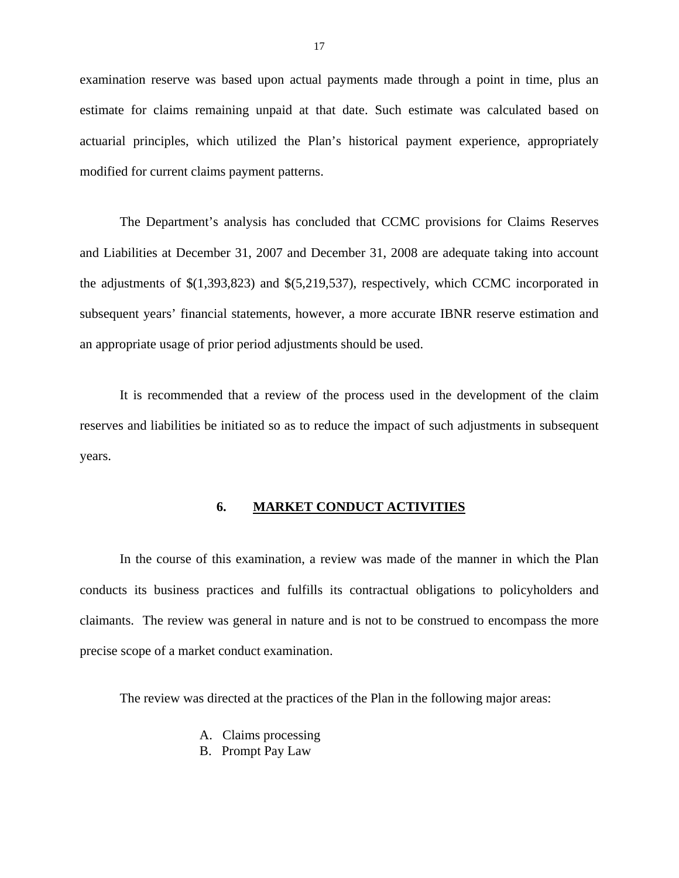examination reserve was based upon actual payments made through a point in time, plus an estimate for claims remaining unpaid at that date. Such estimate was calculated based on actuarial principles, which utilized the Plan's historical payment experience, appropriately modified for current claims payment patterns.

The Department's analysis has concluded that CCMC provisions for Claims Reserves and Liabilities at December 31, 2007 and December 31, 2008 are adequate taking into account the adjustments of \$(1,393,823) and \$(5,219,537), respectively, which CCMC incorporated in subsequent years' financial statements, however, a more accurate IBNR reserve estimation and an appropriate usage of prior period adjustments should be used.

It is recommended that a review of the process used in the development of the claim reserves and liabilities be initiated so as to reduce the impact of such adjustments in subsequent years.

#### **6. MARKET CONDUCT ACTIVITIES**

In the course of this examination, a review was made of the manner in which the Plan conducts its business practices and fulfills its contractual obligations to policyholders and claimants. The review was general in nature and is not to be construed to encompass the more precise scope of a market conduct examination.

The review was directed at the practices of the Plan in the following major areas:

- A. Claims processing
- B. Prompt Pay Law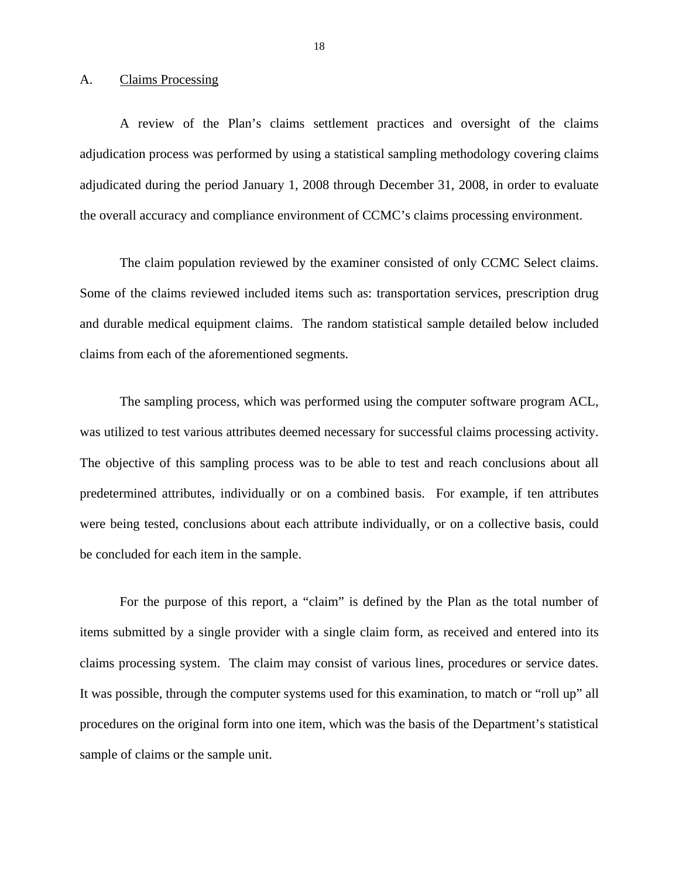#### A. Claims Processing

A review of the Plan's claims settlement practices and oversight of the claims adjudication process was performed by using a statistical sampling methodology covering claims adjudicated during the period January 1, 2008 through December 31, 2008, in order to evaluate the overall accuracy and compliance environment of CCMC's claims processing environment.

The claim population reviewed by the examiner consisted of only CCMC Select claims. Some of the claims reviewed included items such as: transportation services, prescription drug and durable medical equipment claims. The random statistical sample detailed below included claims from each of the aforementioned segments.

The sampling process, which was performed using the computer software program ACL, was utilized to test various attributes deemed necessary for successful claims processing activity. The objective of this sampling process was to be able to test and reach conclusions about all predetermined attributes, individually or on a combined basis. For example, if ten attributes were being tested, conclusions about each attribute individually, or on a collective basis, could be concluded for each item in the sample.

For the purpose of this report, a "claim" is defined by the Plan as the total number of items submitted by a single provider with a single claim form, as received and entered into its claims processing system. The claim may consist of various lines, procedures or service dates. It was possible, through the computer systems used for this examination, to match or "roll up" all procedures on the original form into one item, which was the basis of the Department's statistical sample of claims or the sample unit.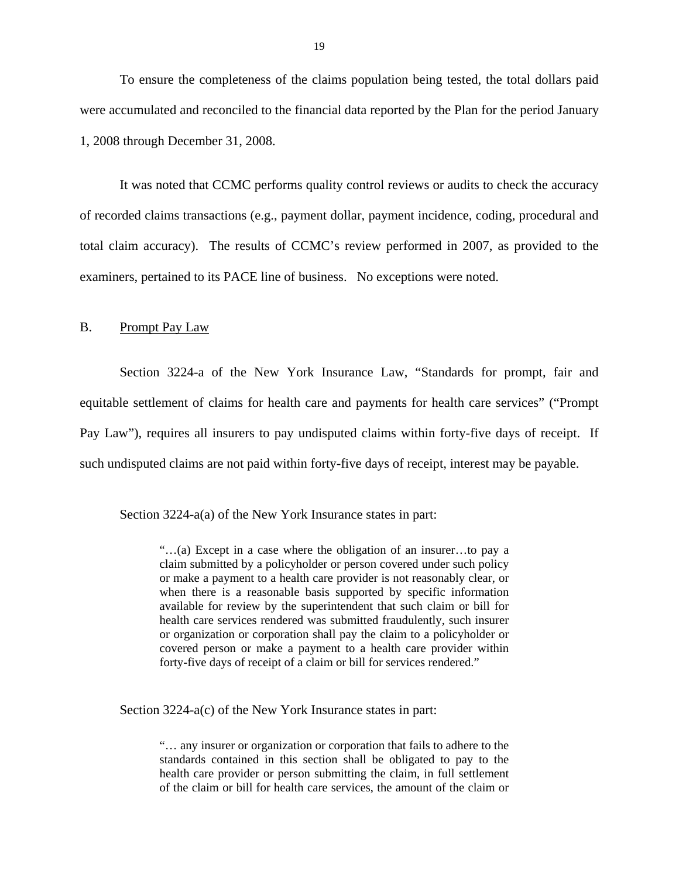To ensure the completeness of the claims population being tested, the total dollars paid were accumulated and reconciled to the financial data reported by the Plan for the period January 1, 2008 through December 31, 2008.

It was noted that CCMC performs quality control reviews or audits to check the accuracy of recorded claims transactions (e.g., payment dollar, payment incidence, coding, procedural and total claim accuracy). The results of CCMC's review performed in 2007, as provided to the examiners, pertained to its PACE line of business. No exceptions were noted.

#### B. Prompt Pay Law

Section 3224-a of the New York Insurance Law, "Standards for prompt, fair and equitable settlement of claims for health care and payments for health care services" ("Prompt Pay Law"), requires all insurers to pay undisputed claims within forty-five days of receipt. If such undisputed claims are not paid within forty-five days of receipt, interest may be payable.

Section 3224-a(a) of the New York Insurance states in part:

"…(a) Except in a case where the obligation of an insurer…to pay a claim submitted by a policyholder or person covered under such policy or make a payment to a health care provider is not reasonably clear, or when there is a reasonable basis supported by specific information available for review by the superintendent that such claim or bill for health care services rendered was submitted fraudulently, such insurer or organization or corporation shall pay the claim to a policyholder or covered person or make a payment to a health care provider within forty-five days of receipt of a claim or bill for services rendered."

Section 3224-a(c) of the New York Insurance states in part:

"… any insurer or organization or corporation that fails to adhere to the standards contained in this section shall be obligated to pay to the health care provider or person submitting the claim, in full settlement of the claim or bill for health care services, the amount of the claim or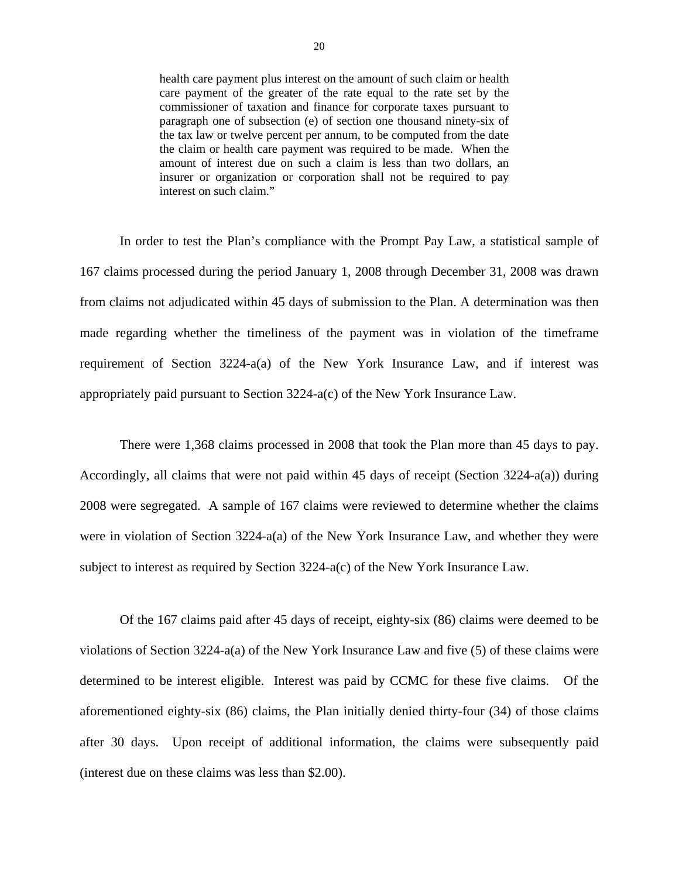health care payment plus interest on the amount of such claim or health care payment of the greater of the rate equal to the rate set by the commissioner of taxation and finance for corporate taxes pursuant to paragraph one of subsection (e) of section one thousand ninety-six of the tax law or twelve percent per annum, to be computed from the date the claim or health care payment was required to be made. When the amount of interest due on such a claim is less than two dollars, an insurer or organization or corporation shall not be required to pay interest on such claim."

In order to test the Plan's compliance with the Prompt Pay Law, a statistical sample of 167 claims processed during the period January 1, 2008 through December 31, 2008 was drawn from claims not adjudicated within 45 days of submission to the Plan. A determination was then made regarding whether the timeliness of the payment was in violation of the timeframe requirement of Section 3224-a(a) of the New York Insurance Law, and if interest was appropriately paid pursuant to Section 3224-a(c) of the New York Insurance Law.

There were 1,368 claims processed in 2008 that took the Plan more than 45 days to pay. Accordingly, all claims that were not paid within 45 days of receipt (Section 3224-a(a)) during 2008 were segregated. A sample of 167 claims were reviewed to determine whether the claims were in violation of Section 3224-a(a) of the New York Insurance Law, and whether they were subject to interest as required by Section 3224-a(c) of the New York Insurance Law.

Of the 167 claims paid after 45 days of receipt, eighty-six (86) claims were deemed to be violations of Section 3224-a(a) of the New York Insurance Law and five (5) of these claims were determined to be interest eligible. Interest was paid by CCMC for these five claims. Of the aforementioned eighty-six (86) claims, the Plan initially denied thirty-four (34) of those claims after 30 days. Upon receipt of additional information, the claims were subsequently paid (interest due on these claims was less than \$2.00).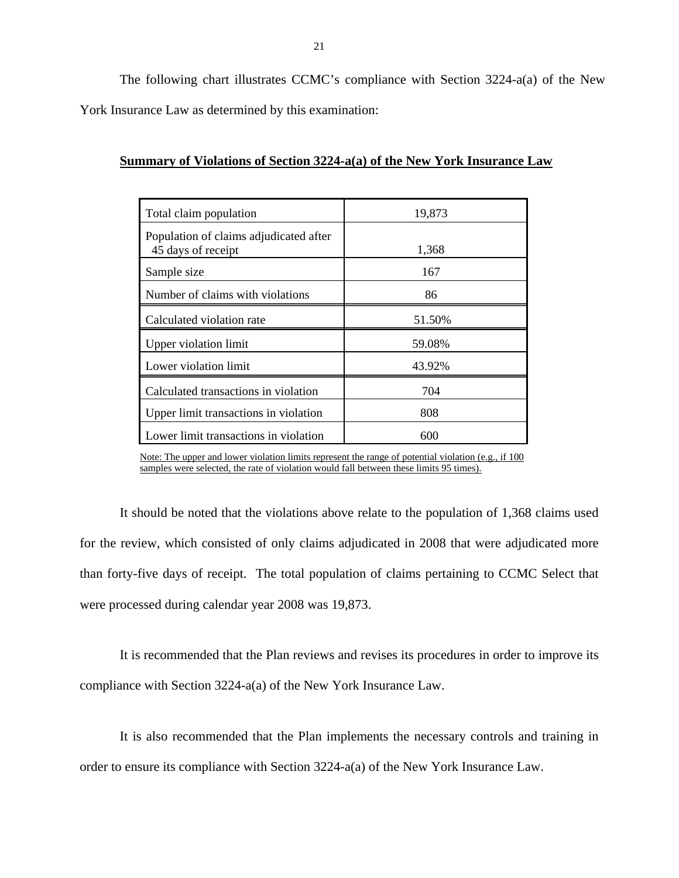The following chart illustrates CCMC's compliance with Section 3224-a(a) of the New York Insurance Law as determined by this examination:

| Total claim population                                       | 19,873 |
|--------------------------------------------------------------|--------|
| Population of claims adjudicated after<br>45 days of receipt | 1,368  |
| Sample size                                                  | 167    |
| Number of claims with violations                             | 86     |
| Calculated violation rate                                    | 51.50% |
| Upper violation limit                                        | 59.08% |
| Lower violation limit                                        | 43.92% |
| Calculated transactions in violation                         | 704    |
| Upper limit transactions in violation                        | 808    |
| Lower limit transactions in violation                        | 600    |

#### **Summary of Violations of Section 3224-a(a) of the New York Insurance Law**

 Note: The upper and lower violation limits represent the range of potential violation (e.g., if 100 samples were selected, the rate of violation would fall between these limits 95 times).

It should be noted that the violations above relate to the population of 1,368 claims used for the review, which consisted of only claims adjudicated in 2008 that were adjudicated more than forty-five days of receipt. The total population of claims pertaining to CCMC Select that were processed during calendar year 2008 was 19,873.

It is recommended that the Plan reviews and revises its procedures in order to improve its compliance with Section 3224-a(a) of the New York Insurance Law.

It is also recommended that the Plan implements the necessary controls and training in order to ensure its compliance with Section 3224-a(a) of the New York Insurance Law.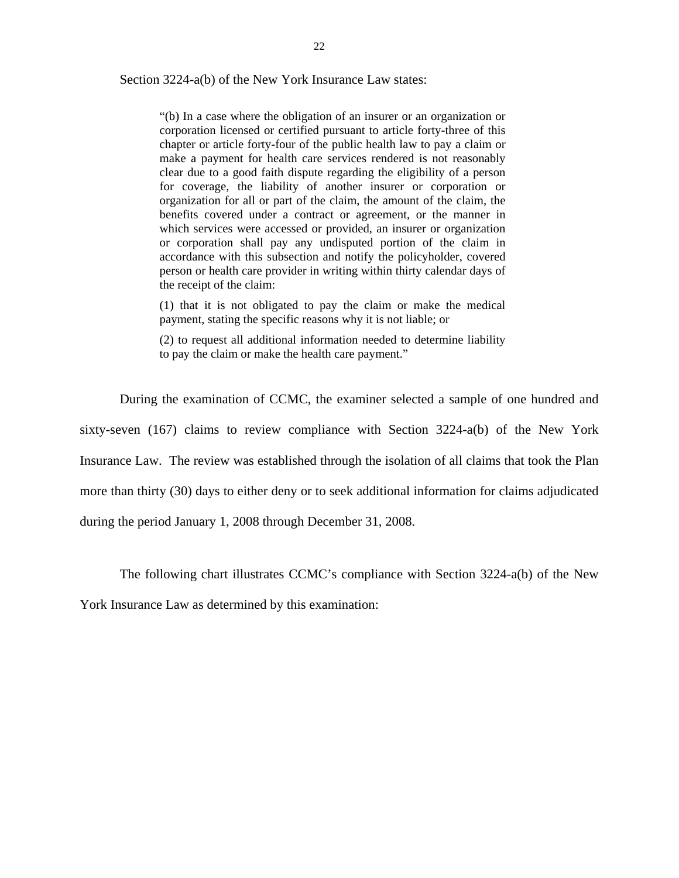Section 3224-a(b) of the New York Insurance Law states:

the receipt of the claim: "(b) In a case where the obligation of an insurer or an organization or corporation licensed or certified pursuant to article forty-three of this chapter or article forty-four of the public health law to pay a claim or make a payment for health care services rendered is not reasonably clear due to a good faith dispute regarding the eligibility of a person for coverage, the liability of another insurer or corporation or organization for all or part of the claim, the amount of the claim, the benefits covered under a contract or agreement, or the manner in which services were accessed or provided, an insurer or organization or corporation shall pay any undisputed portion of the claim in accordance with this subsection and notify the policyholder, covered person or health care provider in writing within thirty calendar days of

 $(1)$  that it is not obligated to pay the claim or make the medical payment, stating the specific reasons why it is not liable; or

(2) to request all additional information needed to determine liability to pay the claim or make the health care payment."

During the examination of CCMC, the examiner selected a sample of one hundred and sixty-seven (167) claims to review compliance with Section 3224-a(b) of the New York Insurance Law. The review was established through the isolation of all claims that took the Plan more than thirty (30) days to either deny or to seek additional information for claims adjudicated during the period January 1, 2008 through December 31, 2008.

The following chart illustrates CCMC's compliance with Section 3224-a(b) of the New

York Insurance Law as determined by this examination: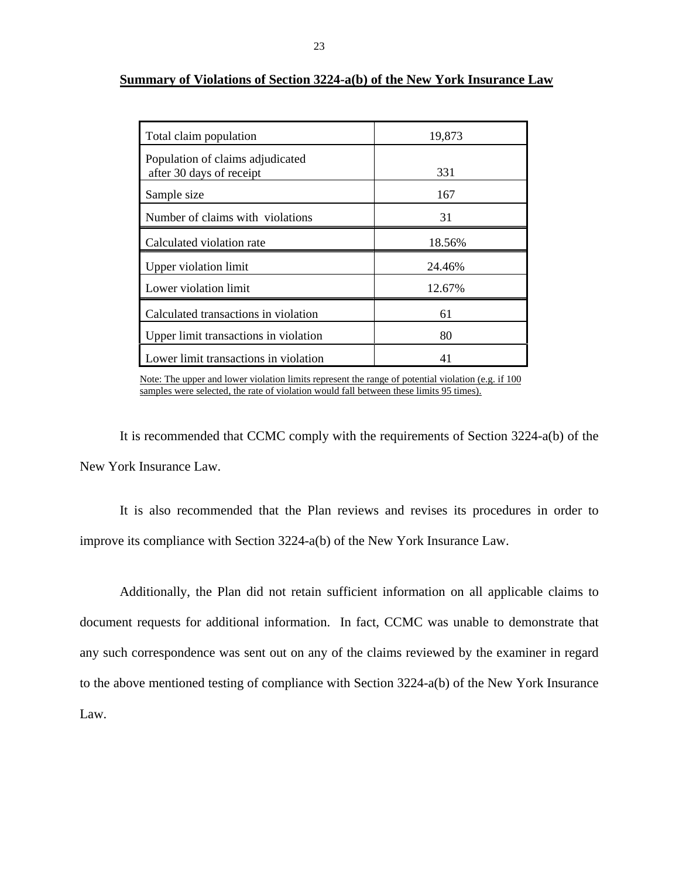| Total claim population                                       | 19,873 |
|--------------------------------------------------------------|--------|
| Population of claims adjudicated<br>after 30 days of receipt | 331    |
| Sample size                                                  | 167    |
| Number of claims with violations                             | 31     |
| Calculated violation rate                                    | 18.56% |
| Upper violation limit                                        | 24.46% |
| Lower violation limit                                        | 12.67% |
| Calculated transactions in violation                         | 61     |
| Upper limit transactions in violation                        | 80     |
| Lower limit transactions in violation                        | 41     |

#### **Summary of Violations of Section 3224-a(b) of the New York Insurance Law**

 Note: The upper and lower violation limits represent the range of potential violation (e.g. if 100 samples were selected, the rate of violation would fall between these limits 95 times).

It is recommended that CCMC comply with the requirements of Section 3224-a(b) of the New York Insurance Law.

It is also recommended that the Plan reviews and revises its procedures in order to improve its compliance with Section 3224-a(b) of the New York Insurance Law.

Additionally, the Plan did not retain sufficient information on all applicable claims to document requests for additional information. In fact, CCMC was unable to demonstrate that any such correspondence was sent out on any of the claims reviewed by the examiner in regard to the above mentioned testing of compliance with Section 3224-a(b) of the New York Insurance Law.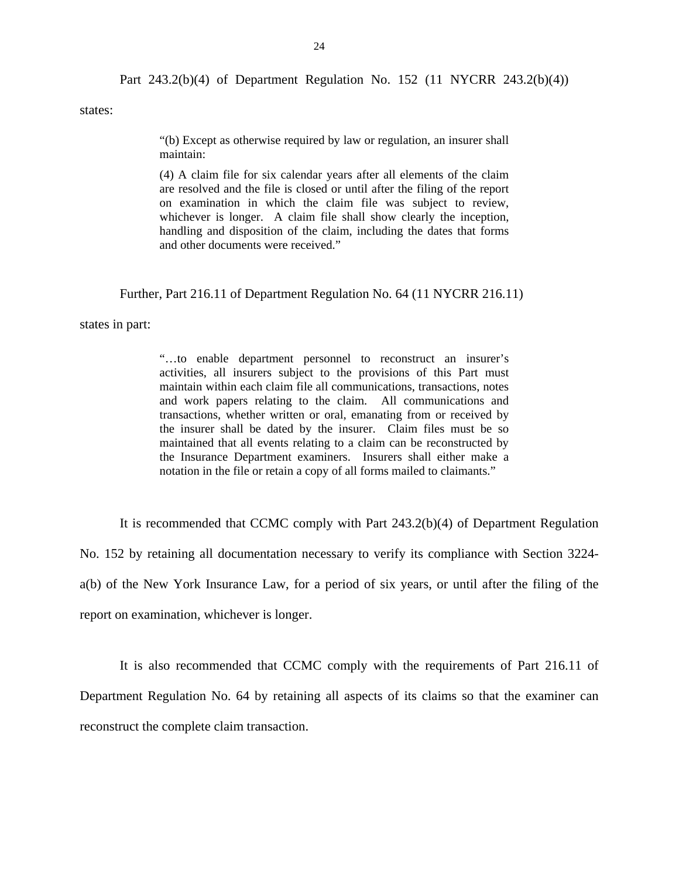Part 243.2(b)(4) of Department Regulation No. 152 (11 NYCRR 243.2(b)(4))

states:

"(b) Except as otherwise required by law or regulation, an insurer shall maintain:

(4) A claim file for six calendar years after all elements of the claim are resolved and the file is closed or until after the filing of the report on examination in which the claim file was subject to review, whichever is longer. A claim file shall show clearly the inception, handling and disposition of the claim, including the dates that forms and other documents were received."

Further, Part 216.11 of Department Regulation No. 64 (11 NYCRR 216.11)

states in part:

 and work papers relating to the claim. All communications and "…to enable department personnel to reconstruct an insurer's activities, all insurers subject to the provisions of this Part must maintain within each claim file all communications, transactions, notes transactions, whether written or oral, emanating from or received by the insurer shall be dated by the insurer. Claim files must be so maintained that all events relating to a claim can be reconstructed by the Insurance Department examiners. Insurers shall either make a notation in the file or retain a copy of all forms mailed to claimants."

It is recommended that CCMC comply with Part 243.2(b)(4) of Department Regulation No. 152 by retaining all documentation necessary to verify its compliance with Section 3224 a(b) of the New York Insurance Law, for a period of six years, or until after the filing of the report on examination, whichever is longer.

It is also recommended that CCMC comply with the requirements of Part 216.11 of Department Regulation No. 64 by retaining all aspects of its claims so that the examiner can reconstruct the complete claim transaction.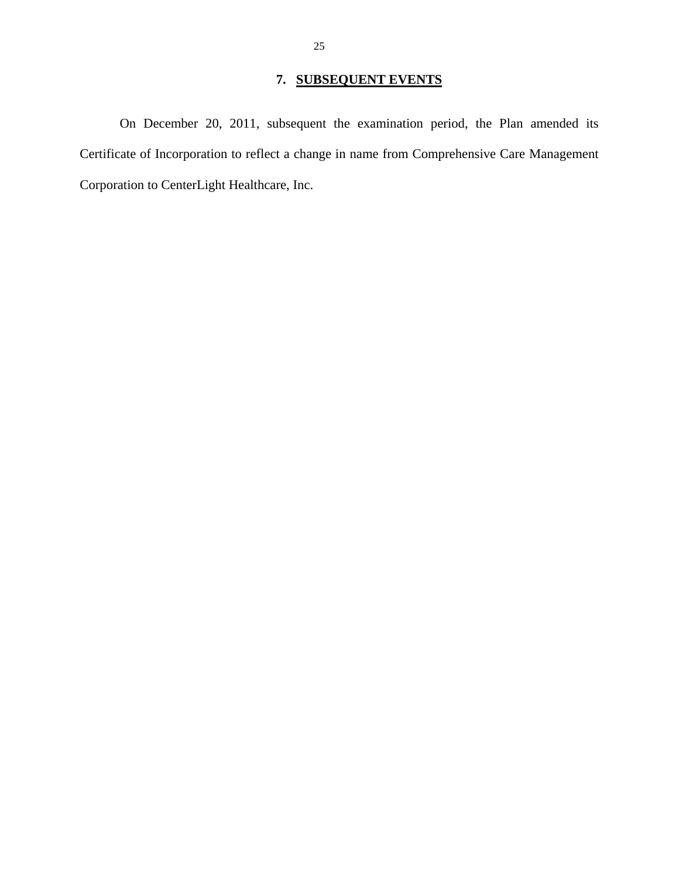## **7. SUBSEQUENT EVENTS**

On December 20, 2011, subsequent the examination period, the Plan amended its Certificate of Incorporation to reflect a change in name from Comprehensive Care Management Corporation to CenterLight Healthcare, Inc.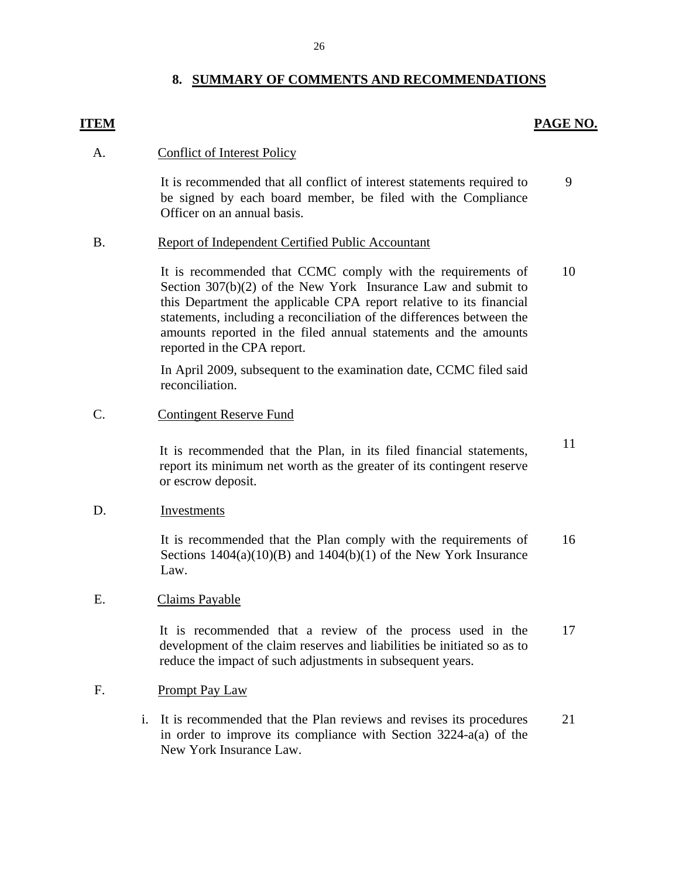### **8. SUMMARY OF COMMENTS AND RECOMMENDATIONS**

#### **ITEM**

#### **PAGE NO.**

#### **Conflict of Interest Policy**

A. Conflict of Interest Policy<br>It is recommended that all conflict of interest statements required to be signed by each board member, be filed with the Compliance Officer on an annual basis. 9

#### B. Report of Independent Certified Public Accountant

It is recommended that CCMC comply with the requirements of Section 307(b)(2) of the New York Insurance Law and submit to this Department the applicable CPA report relative to its financial statements, including a reconciliation of the differences between the amounts reported in the filed annual statements and the amounts reported in the CPA report. 10

In April 2009, subsequent to the examination date, CCMC filed said reconciliation.

#### C. Contingent Reserve Fund

It is recommended that the Plan, in its filed financial statements, report its minimum net worth as the greater of its contingent reserve or escrow deposit. It is recommended that the Plan, in its filed financial statements,<br>report its minimum net worth as the greater of its contingent reserve<br>or escrow deposit.<br>Investments

#### Investments D.

It is recommended that the Plan comply with the requirements of Sections  $1404(a)(10)(B)$  and  $1404(b)(1)$  of the New York Insurance Law. 16

#### **Claims Payable** E.

It is recommended that a review of the process used in the development of the claim reserves and liabilities be initiated so as to reduce the impact of such adjustments in subsequent years. 17

#### F. Prompt Pay Law

i. It is recommended that the Plan reviews and revises its procedures in order to improve its compliance with Section 3224-a(a) of the New York Insurance Law. 21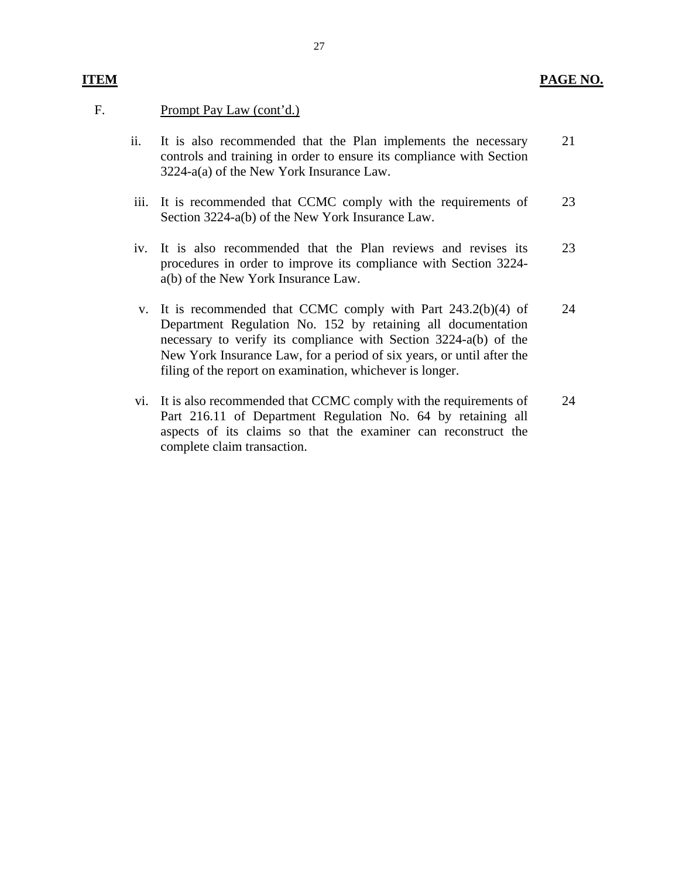#### F. Prompt Pay Law (cont'd.)

- ii. It is also recommended that the Plan implements the necessary controls and training in order to ensure its compliance with Section 3224-a(a) of the New York Insurance Law. 21
- iii. It is recommended that CCMC comply with the requirements of Section 3224-a(b) of the New York Insurance Law. 23
- iv. It is also recommended that the Plan reviews and revises its procedures in order to improve its compliance with Section 3224 a(b) of the New York Insurance Law. 23
- v. It is recommended that CCMC comply with Part 243.2(b)(4) of Department Regulation No. 152 by retaining all documentation necessary to verify its compliance with Section 3224-a(b) of the New York Insurance Law, for a period of six years, or until after the filing of the report on examination, whichever is longer. 24
- vi. It is also recommended that CCMC comply with the requirements of Part 216.11 of Department Regulation No. 64 by retaining all aspects of its claims so that the examiner can reconstruct the complete claim transaction. 24